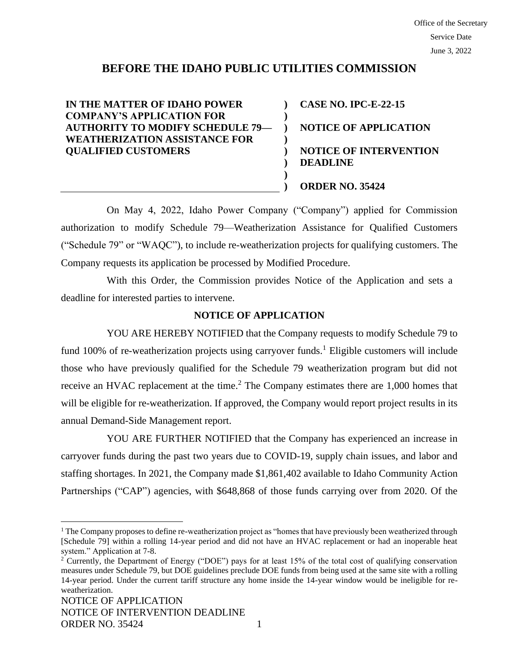# **BEFORE THE IDAHO PUBLIC UTILITIES COMMISSION**

**) ) ) ) ) ) ) )**

**IN THE MATTER OF IDAHO POWER COMPANY'S APPLICATION FOR AUTHORITY TO MODIFY SCHEDULE 79— WEATHERIZATION ASSISTANCE FOR QUALIFIED CUSTOMERS**

**CASE NO. IPC-E-22-15 NOTICE OF APPLICATION NOTICE OF INTERVENTION DEADLINE ORDER NO. 35424**

On May 4, 2022, Idaho Power Company ("Company") applied for Commission authorization to modify Schedule 79—Weatherization Assistance for Qualified Customers ("Schedule 79" or "WAQC"), to include re-weatherization projects for qualifying customers. The Company requests its application be processed by Modified Procedure.

With this Order, the Commission provides Notice of the Application and sets a deadline for interested parties to intervene.

## **NOTICE OF APPLICATION**

YOU ARE HEREBY NOTIFIED that the Company requests to modify Schedule 79 to fund 100% of re-weatherization projects using carryover funds.<sup>1</sup> Eligible customers will include those who have previously qualified for the Schedule 79 weatherization program but did not receive an HVAC replacement at the time.<sup>2</sup> The Company estimates there are 1,000 homes that will be eligible for re-weatherization. If approved, the Company would report project results in its annual Demand-Side Management report.

YOU ARE FURTHER NOTIFIED that the Company has experienced an increase in carryover funds during the past two years due to COVID-19, supply chain issues, and labor and staffing shortages. In 2021, the Company made \$1,861,402 available to Idaho Community Action Partnerships ("CAP") agencies, with \$648,868 of those funds carrying over from 2020. Of the

<sup>&</sup>lt;sup>1</sup> The Company proposes to define re-weatherization project as "homes that have previously been weatherized through [Schedule 79] within a rolling 14-year period and did not have an HVAC replacement or had an inoperable heat system." Application at 7-8.

<sup>&</sup>lt;sup>2</sup> Currently, the Department of Energy ("DOE") pays for at least 15% of the total cost of qualifying conservation measures under Schedule 79, but DOE guidelines preclude DOE funds from being used at the same site with a rolling 14-year period. Under the current tariff structure any home inside the 14-year window would be ineligible for reweatherization.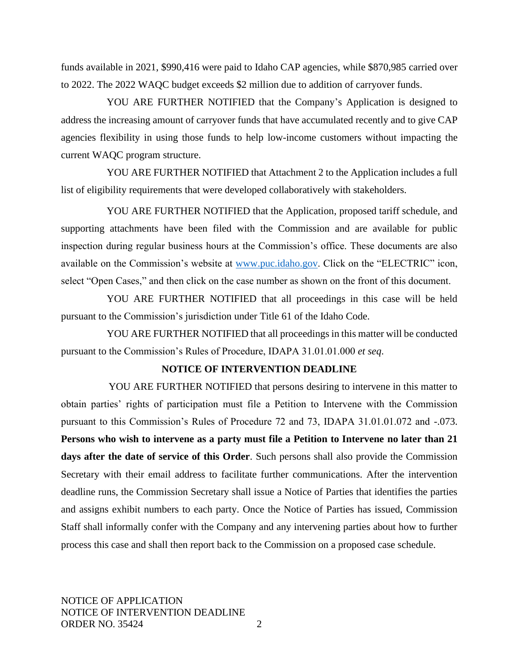funds available in 2021, \$990,416 were paid to Idaho CAP agencies, while \$870,985 carried over to 2022. The 2022 WAQC budget exceeds \$2 million due to addition of carryover funds.

YOU ARE FURTHER NOTIFIED that the Company's Application is designed to address the increasing amount of carryover funds that have accumulated recently and to give CAP agencies flexibility in using those funds to help low-income customers without impacting the current WAQC program structure.

YOU ARE FURTHER NOTIFIED that Attachment 2 to the Application includes a full list of eligibility requirements that were developed collaboratively with stakeholders.

YOU ARE FURTHER NOTIFIED that the Application, proposed tariff schedule, and supporting attachments have been filed with the Commission and are available for public inspection during regular business hours at the Commission's office. These documents are also available on the Commission's website at [www.puc.idaho.gov.](http://www.puc.idaho.gov/) Click on the "ELECTRIC" icon, select "Open Cases," and then click on the case number as shown on the front of this document.

YOU ARE FURTHER NOTIFIED that all proceedings in this case will be held pursuant to the Commission's jurisdiction under Title 61 of the Idaho Code.

YOU ARE FURTHER NOTIFIED that all proceedings in this matter will be conducted pursuant to the Commission's Rules of Procedure, IDAPA 31.01.01.000 *et seq*.

# **NOTICE OF INTERVENTION DEADLINE**

YOU ARE FURTHER NOTIFIED that persons desiring to intervene in this matter to obtain parties' rights of participation must file a Petition to Intervene with the Commission pursuant to this Commission's Rules of Procedure 72 and 73, IDAPA 31.01.01.072 and -.073. **Persons who wish to intervene as a party must file a Petition to Intervene no later than 21 days after the date of service of this Order**. Such persons shall also provide the Commission Secretary with their email address to facilitate further communications. After the intervention deadline runs, the Commission Secretary shall issue a Notice of Parties that identifies the parties and assigns exhibit numbers to each party. Once the Notice of Parties has issued, Commission Staff shall informally confer with the Company and any intervening parties about how to further process this case and shall then report back to the Commission on a proposed case schedule.

NOTICE OF APPLICATION NOTICE OF INTERVENTION DEADLINE ORDER NO. 35424 2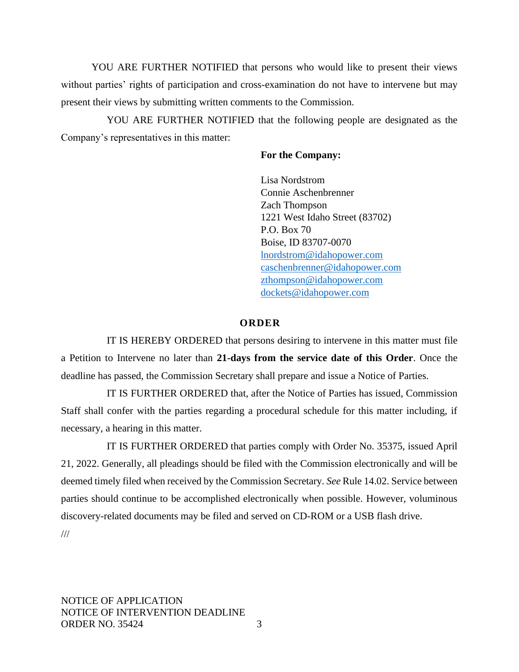YOU ARE FURTHER NOTIFIED that persons who would like to present their views without parties' rights of participation and cross-examination do not have to intervene but may present their views by submitting written comments to the Commission.

YOU ARE FURTHER NOTIFIED that the following people are designated as the Company's representatives in this matter:

## **For the Company:**

Lisa Nordstrom Connie Aschenbrenner Zach Thompson 1221 West Idaho Street (83702) P.O. Box 70 Boise, ID 83707-0070 [lnordstrom@idahopower.com](mailto:lnordstrom@idahopower.com) [caschenbrenner@idahopower.com](mailto:caschenbrenner@idahopower.com) [zthompson@idahopower.com](mailto:zthompson@idahopower.com) [dockets@idahopower.com](mailto:dockets@idahopower.com)

#### **O R D E R**

IT IS HEREBY ORDERED that persons desiring to intervene in this matter must file a Petition to Intervene no later than **21-days from the service date of this Order**. Once the deadline has passed, the Commission Secretary shall prepare and issue a Notice of Parties.

IT IS FURTHER ORDERED that, after the Notice of Parties has issued, Commission Staff shall confer with the parties regarding a procedural schedule for this matter including, if necessary, a hearing in this matter.

IT IS FURTHER ORDERED that parties comply with Order No. 35375, issued April 21, 2022. Generally, all pleadings should be filed with the Commission electronically and will be deemed timely filed when received by the Commission Secretary. *See* Rule 14.02. Service between parties should continue to be accomplished electronically when possible. However, voluminous discovery-related documents may be filed and served on CD-ROM or a USB flash drive. ///

NOTICE OF APPLICATION NOTICE OF INTERVENTION DEADLINE ORDER NO. 35424 3